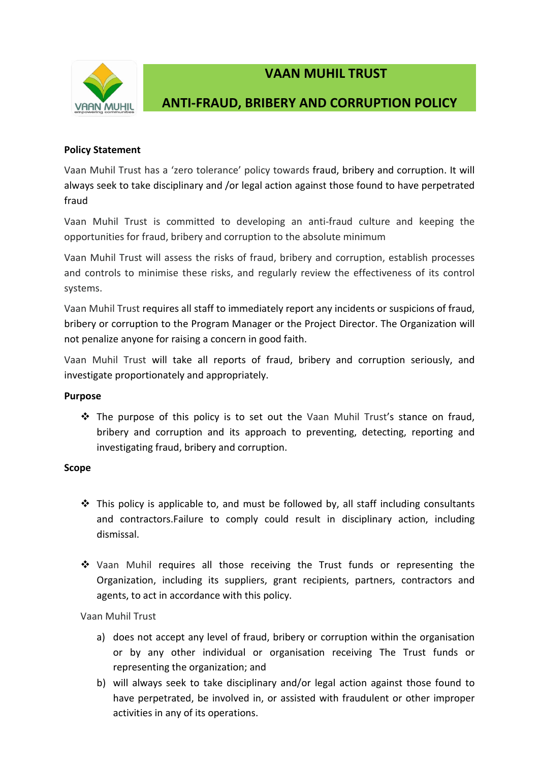

# **VAAN MUHIL TRUST**

# **ANTI-FRAUD, BRIBERY AND CORRUPTION POLICY**

# **Policy Statement**

Vaan Muhil Trust has a 'zero tolerance' policy towards fraud, bribery and corruption. It will always seek to take disciplinary and /or legal action against those found to have perpetrated fraud

Vaan Muhil Trust is committed to developing an anti-fraud culture and keeping the opportunities for fraud, bribery and corruption to the absolute minimum

Vaan Muhil Trust will assess the risks of fraud, bribery and corruption, establish processes and controls to minimise these risks, and regularly review the effectiveness of its control systems.

Vaan Muhil Trust requires all staff to immediately report any incidents or suspicions of fraud, bribery or corruption to the Program Manager or the Project Director. The Organization will not penalize anyone for raising a concern in good faith.

Vaan Muhil Trust will take all reports of fraud, bribery and corruption seriously, and investigate proportionately and appropriately.

## **Purpose**

 $\clubsuit$  The purpose of this policy is to set out the Vaan Muhil Trust's stance on fraud, bribery and corruption and its approach to preventing, detecting, reporting and investigating fraud, bribery and corruption.

## **Scope**

- $\div$  This policy is applicable to, and must be followed by, all staff including consultants and contractors.Failure to comply could result in disciplinary action, including dismissal.
- Vaan Muhil requires all those receiving the Trust funds or representing the Organization, including its suppliers, grant recipients, partners, contractors and agents, to act in accordance with this policy.

## Vaan Muhil Trust

- a) does not accept any level of fraud, bribery or corruption within the organisation or by any other individual or organisation receiving The Trust funds or representing the organization; and
- b) will always seek to take disciplinary and/or legal action against those found to have perpetrated, be involved in, or assisted with fraudulent or other improper activities in any of its operations.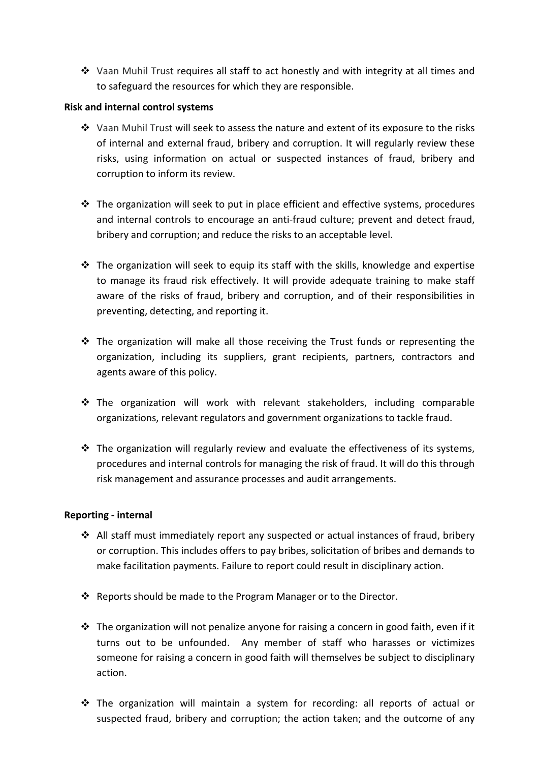$\div$  Vaan Muhil Trust requires all staff to act honestly and with integrity at all times and to safeguard the resources for which they are responsible.

# **Risk and internal control systems**

- Vaan Muhil Trust will seek to assess the nature and extent of its exposure to the risks of internal and external fraud, bribery and corruption. It will regularly review these risks, using information on actual or suspected instances of fraud, bribery and corruption to inform its review.
- $\cdot \cdot$  The organization will seek to put in place efficient and effective systems, procedures and internal controls to encourage an anti-fraud culture; prevent and detect fraud, bribery and corruption; and reduce the risks to an acceptable level.
- $\cdot \cdot$  The organization will seek to equip its staff with the skills, knowledge and expertise to manage its fraud risk effectively. It will provide adequate training to make staff aware of the risks of fraud, bribery and corruption, and of their responsibilities in preventing, detecting, and reporting it.
- The organization will make all those receiving the Trust funds or representing the organization, including its suppliers, grant recipients, partners, contractors and agents aware of this policy.
- \* The organization will work with relevant stakeholders, including comparable organizations, relevant regulators and government organizations to tackle fraud.
- $\cdot \cdot$  The organization will regularly review and evaluate the effectiveness of its systems, procedures and internal controls for managing the risk of fraud. It will do this through risk management and assurance processes and audit arrangements.

## **Reporting - internal**

- $\triangleleft$  All staff must immediately report any suspected or actual instances of fraud, bribery or corruption. This includes offers to pay bribes, solicitation of bribes and demands to make facilitation payments. Failure to report could result in disciplinary action.
- Reports should be made to the Program Manager or to the Director.
- $\cdot$  The organization will not penalize anyone for raising a concern in good faith, even if it turns out to be unfounded. Any member of staff who harasses or victimizes someone for raising a concern in good faith will themselves be subject to disciplinary action.
- $\div$  The organization will maintain a system for recording: all reports of actual or suspected fraud, bribery and corruption; the action taken; and the outcome of any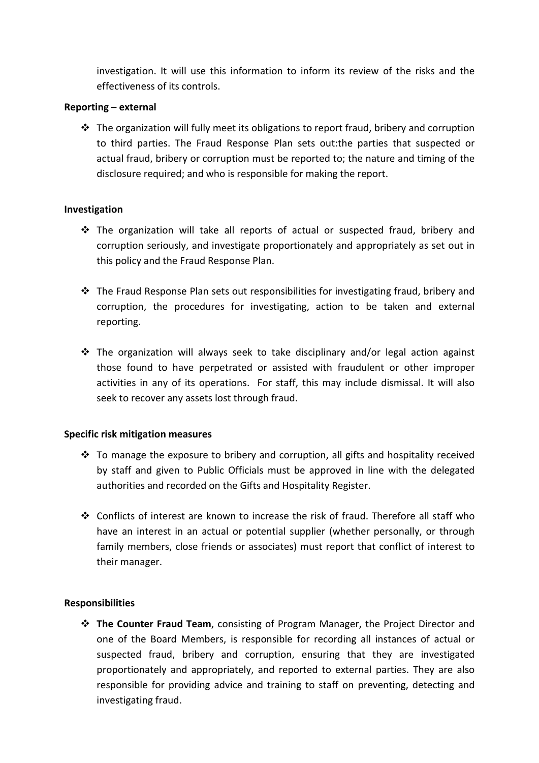investigation. It will use this information to inform its review of the risks and the effectiveness of its controls.

# **Reporting – external**

 The organization will fully meet its obligations to report fraud, bribery and corruption to third parties. The Fraud Response Plan sets out:the parties that suspected or actual fraud, bribery or corruption must be reported to; the nature and timing of the disclosure required; and who is responsible for making the report.

# **Investigation**

- The organization will take all reports of actual or suspected fraud, bribery and corruption seriously, and investigate proportionately and appropriately as set out in this policy and the Fraud Response Plan.
- The Fraud Response Plan sets out responsibilities for investigating fraud, bribery and corruption, the procedures for investigating, action to be taken and external reporting.
- $\div$  The organization will always seek to take disciplinary and/or legal action against those found to have perpetrated or assisted with fraudulent or other improper activities in any of its operations. For staff, this may include dismissal. It will also seek to recover any assets lost through fraud.

## **Specific risk mitigation measures**

- $\cdot \cdot$  To manage the exposure to bribery and corruption, all gifts and hospitality received by staff and given to Public Officials must be approved in line with the delegated authorities and recorded on the Gifts and Hospitality Register.
- Conflicts of interest are known to increase the risk of fraud. Therefore all staff who have an interest in an actual or potential supplier (whether personally, or through family members, close friends or associates) must report that conflict of interest to their manager.

# **Responsibilities**

 **The Counter Fraud Team**, consisting of Program Manager, the Project Director and one of the Board Members, is responsible for recording all instances of actual or suspected fraud, bribery and corruption, ensuring that they are investigated proportionately and appropriately, and reported to external parties. They are also responsible for providing advice and training to staff on preventing, detecting and investigating fraud.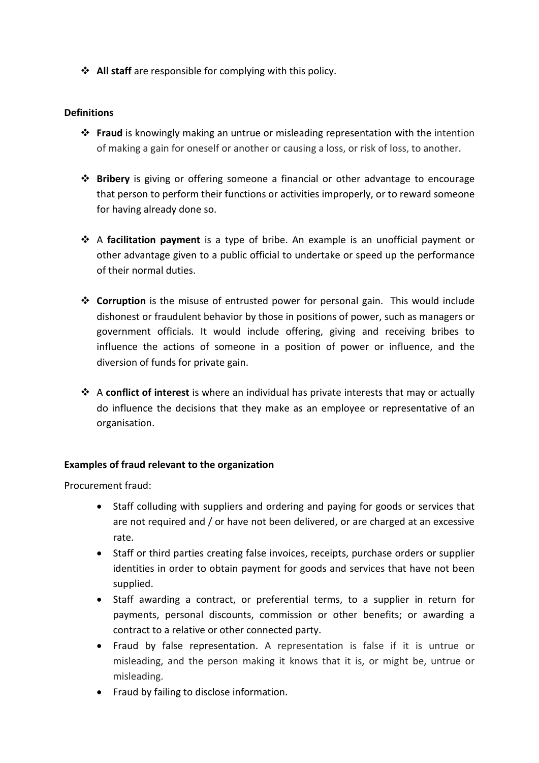**↑ All staff** are responsible for complying with this policy.

# **Definitions**

- **Fraud** is knowingly making an untrue or misleading representation with the intention of making a gain for oneself or another or causing a loss, or risk of loss, to another.
- **Bribery** is giving or offering someone a financial or other advantage to encourage that person to perform their functions or activities improperly, or to reward someone for having already done so.
- A **facilitation payment** is a type of bribe. An example is an unofficial payment or other advantage given to a public official to undertake or speed up the performance of their normal duties.
- **Corruption** is the misuse of entrusted power for personal gain. This would include dishonest or fraudulent behavior by those in positions of power, such as managers or government officials. It would include offering, giving and receiving bribes to influence the actions of someone in a position of power or influence, and the diversion of funds for private gain.
- A **conflict of interest** is where an individual has private interests that may or actually do influence the decisions that they make as an employee or representative of an organisation.

## **Examples of fraud relevant to the organization**

Procurement fraud:

- Staff colluding with suppliers and ordering and paying for goods or services that are not required and / or have not been delivered, or are charged at an excessive rate.
- Staff or third parties creating false invoices, receipts, purchase orders or supplier identities in order to obtain payment for goods and services that have not been supplied.
- Staff awarding a contract, or preferential terms, to a supplier in return for payments, personal discounts, commission or other benefits; or awarding a contract to a relative or other connected party.
- Fraud by false representation. A representation is false if it is untrue or misleading, and the person making it knows that it is, or might be, untrue or misleading.
- Fraud by failing to disclose information.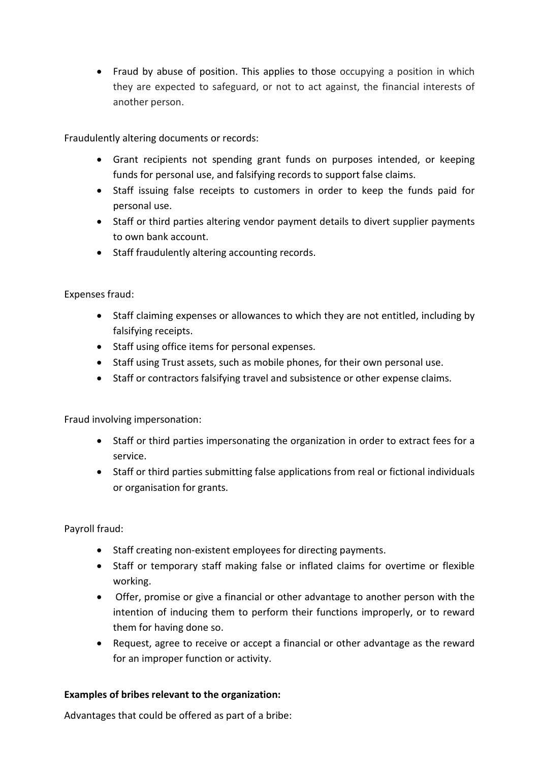Fraud by abuse of position. This applies to those occupying a position in which they are expected to safeguard, or not to act against, the financial interests of another person.

Fraudulently altering documents or records:

- Grant recipients not spending grant funds on purposes intended, or keeping funds for personal use, and falsifying records to support false claims.
- Staff issuing false receipts to customers in order to keep the funds paid for personal use.
- Staff or third parties altering vendor payment details to divert supplier payments to own bank account.
- Staff fraudulently altering accounting records.

Expenses fraud:

- Staff claiming expenses or allowances to which they are not entitled, including by falsifying receipts.
- Staff using office items for personal expenses.
- Staff using Trust assets, such as mobile phones, for their own personal use.
- Staff or contractors falsifying travel and subsistence or other expense claims.

Fraud involving impersonation:

- Staff or third parties impersonating the organization in order to extract fees for a service.
- Staff or third parties submitting false applications from real or fictional individuals or organisation for grants.

Payroll fraud:

- Staff creating non-existent employees for directing payments.
- Staff or temporary staff making false or inflated claims for overtime or flexible working.
- Offer, promise or give a financial or other advantage to another person with the intention of inducing them to perform their functions improperly, or to reward them for having done so.
- Request, agree to receive or accept a financial or other advantage as the reward for an improper function or activity.

## **Examples of bribes relevant to the organization:**

Advantages that could be offered as part of a bribe: